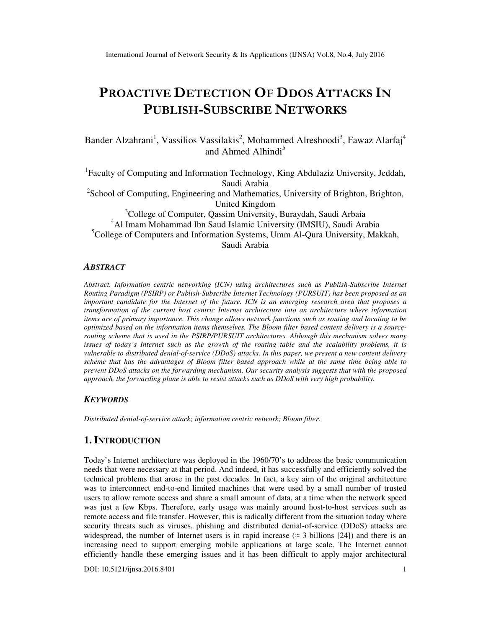# **PROACTIVE DETECTION OF DDOS ATTACKS IN PUBLISH-SUBSCRIBE NETWORKS**

Bander Alzahrani<sup>1</sup>, Vassilios Vassilakis<sup>2</sup>, Mohammed Alreshoodi<sup>3</sup>, Fawaz Alarfaj<sup>4</sup> and Ahmed Alhindi<sup>5</sup>

<sup>1</sup>Faculty of Computing and Information Technology, King Abdulaziz University, Jeddah, Saudi Arabia <sup>2</sup>School of Computing, Engineering and Mathematics, University of Brighton, Brighton, United Kingdom

<sup>3</sup>College of Computer, Oassim University, Buraydah, Saudi Arbaia <sup>4</sup>Al Imam Mohammad Ibn Saud Islamic University (IMSIU), Saudi Arabia <sup>5</sup>College of Computers and Information Systems, Umm Al-Qura University, Makkah, Saudi Arabia

## *ABSTRACT*

*Abstract. Information centric networking (ICN) using architectures such as Publish-Subscribe Internet Routing Paradigm (PSIRP) or Publish-Subscribe Internet Technology (PURSUIT) has been proposed as an important candidate for the Internet of the future. ICN is an emerging research area that proposes a transformation of the current host centric Internet architecture into an architecture where information items are of primary importance. This change allows network functions such as routing and locating to be optimized based on the information items themselves. The Bloom filter based content delivery is a sourcerouting scheme that is used in the PSIRP/PURSUIT architectures. Although this mechanism solves many issues of today's Internet such as the growth of the routing table and the scalability problems, it is vulnerable to distributed denial-of-service (DDoS) attacks. In this paper, we present a new content delivery scheme that has the advantages of Bloom filter based approach while at the same time being able to prevent DDoS attacks on the forwarding mechanism. Our security analysis suggests that with the proposed approach, the forwarding plane is able to resist attacks such as DDoS with very high probability.* 

## *KEYWORDS*

*Distributed denial-of-service attack; information centric network; Bloom filter.* 

## **1. INTRODUCTION**

Today's Internet architecture was deployed in the 1960/70's to address the basic communication needs that were necessary at that period. And indeed, it has successfully and efficiently solved the technical problems that arose in the past decades. In fact, a key aim of the original architecture was to interconnect end-to-end limited machines that were used by a small number of trusted users to allow remote access and share a small amount of data, at a time when the network speed was just a few Kbps. Therefore, early usage was mainly around host-to-host services such as remote access and file transfer. However, this is radically different from the situation today where security threats such as viruses, phishing and distributed denial-of-service (DDoS) attacks are widespread, the number of Internet users is in rapid increase ( $\approx$  3 billions [24]) and there is an increasing need to support emerging mobile applications at large scale. The Internet cannot efficiently handle these emerging issues and it has been difficult to apply major architectural

DOI: 10.5121/ijnsa.2016.8401 1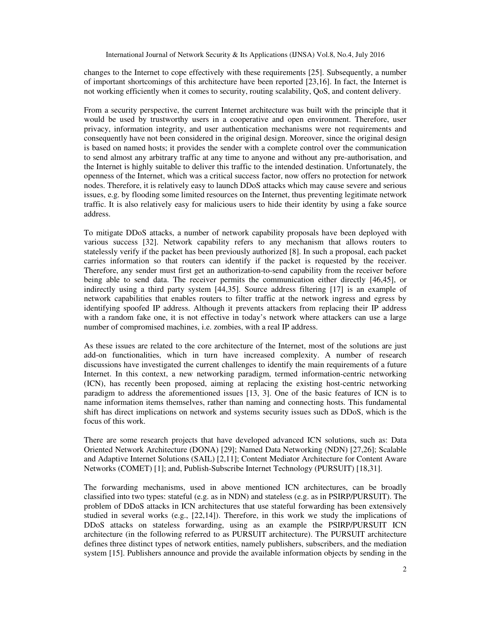changes to the Internet to cope effectively with these requirements [25]. Subsequently, a number of important shortcomings of this architecture have been reported [23,16]. In fact, the Internet is not working efficiently when it comes to security, routing scalability, QoS, and content delivery.

From a security perspective, the current Internet architecture was built with the principle that it would be used by trustworthy users in a cooperative and open environment. Therefore, user privacy, information integrity, and user authentication mechanisms were not requirements and consequently have not been considered in the original design. Moreover, since the original design is based on named hosts; it provides the sender with a complete control over the communication to send almost any arbitrary traffic at any time to anyone and without any pre-authorisation, and the Internet is highly suitable to deliver this traffic to the intended destination. Unfortunately, the openness of the Internet, which was a critical success factor, now offers no protection for network nodes. Therefore, it is relatively easy to launch DDoS attacks which may cause severe and serious issues, e.g. by flooding some limited resources on the Internet, thus preventing legitimate network traffic. It is also relatively easy for malicious users to hide their identity by using a fake source address.

To mitigate DDoS attacks, a number of network capability proposals have been deployed with various success [32]. Network capability refers to any mechanism that allows routers to statelessly verify if the packet has been previously authorized [8]. In such a proposal, each packet carries information so that routers can identify if the packet is requested by the receiver. Therefore, any sender must first get an authorization-to-send capability from the receiver before being able to send data. The receiver permits the communication either directly [46,45], or indirectly using a third party system [44,35]. Source address filtering [17] is an example of network capabilities that enables routers to filter traffic at the network ingress and egress by identifying spoofed IP address. Although it prevents attackers from replacing their IP address with a random fake one, it is not effective in today's network where attackers can use a large number of compromised machines, i.e. zombies, with a real IP address.

As these issues are related to the core architecture of the Internet, most of the solutions are just add-on functionalities, which in turn have increased complexity. A number of research discussions have investigated the current challenges to identify the main requirements of a future Internet. In this context, a new networking paradigm, termed information-centric networking (ICN), has recently been proposed, aiming at replacing the existing host-centric networking paradigm to address the aforementioned issues [13, 3]. One of the basic features of ICN is to name information items themselves, rather than naming and connecting hosts. This fundamental shift has direct implications on network and systems security issues such as DDoS, which is the focus of this work.

There are some research projects that have developed advanced ICN solutions, such as: Data Oriented Network Architecture (DONA) [29]; Named Data Networking (NDN) [27,26]; Scalable and Adaptive Internet Solutions (SAIL) [2,11]; Content Mediator Architecture for Content Aware Networks (COMET) [1]; and, Publish-Subscribe Internet Technology (PURSUIT) [18,31].

The forwarding mechanisms, used in above mentioned ICN architectures, can be broadly classified into two types: stateful (e.g. as in NDN) and stateless (e.g. as in PSIRP/PURSUIT). The problem of DDoS attacks in ICN architectures that use stateful forwarding has been extensively studied in several works (e.g., [22,14]). Therefore, in this work we study the implications of DDoS attacks on stateless forwarding, using as an example the PSIRP/PURSUIT ICN architecture (in the following referred to as PURSUIT architecture). The PURSUIT architecture defines three distinct types of network entities, namely publishers, subscribers, and the mediation system [15]. Publishers announce and provide the available information objects by sending in the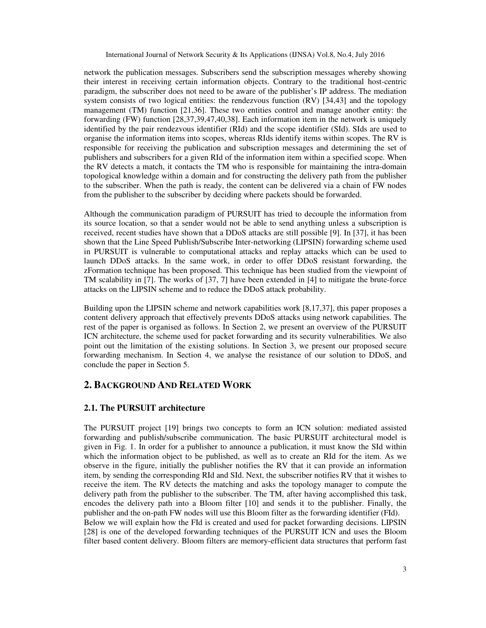network the publication messages. Subscribers send the subscription messages whereby showing their interest in receiving certain information objects. Contrary to the traditional host-centric paradigm, the subscriber does not need to be aware of the publisher's IP address. The mediation system consists of two logical entities: the rendezvous function (RV) [34,43] and the topology management (TM) function [21,36]. These two entities control and manage another entity: the forwarding (FW) function [28,37,39,47,40,38]. Each information item in the network is uniquely identified by the pair rendezvous identifier (RId) and the scope identifier (SId). SIds are used to organise the information items into scopes, whereas RIds identify items within scopes. The RV is responsible for receiving the publication and subscription messages and determining the set of publishers and subscribers for a given RId of the information item within a specified scope. When the RV detects a match, it contacts the TM who is responsible for maintaining the intra-domain topological knowledge within a domain and for constructing the delivery path from the publisher to the subscriber. When the path is ready, the content can be delivered via a chain of FW nodes from the publisher to the subscriber by deciding where packets should be forwarded.

Although the communication paradigm of PURSUIT has tried to decouple the information from its source location, so that a sender would not be able to send anything unless a subscription is received, recent studies have shown that a DDoS attacks are still possible [9]. In [37], it has been shown that the Line Speed Publish/Subscribe Inter-networking (LIPSIN) forwarding scheme used in PURSUIT is vulnerable to computational attacks and replay attacks which can be used to launch DDoS attacks. In the same work, in order to offer DDoS resistant forwarding, the zFormation technique has been proposed. This technique has been studied from the viewpoint of TM scalability in [7]. The works of [37, 7] have been extended in [4] to mitigate the brute-force attacks on the LIPSIN scheme and to reduce the DDoS attack probability.

Building upon the LIPSIN scheme and network capabilities work [8,17,37], this paper proposes a content delivery approach that effectively prevents DDoS attacks using network capabilities. The rest of the paper is organised as follows. In Section 2, we present an overview of the PURSUIT ICN architecture, the scheme used for packet forwarding and its security vulnerabilities. We also point out the limitation of the existing solutions. In Section 3, we present our proposed secure forwarding mechanism. In Section 4, we analyse the resistance of our solution to DDoS, and conclude the paper in Section 5.

# **2. BACKGROUND AND RELATED WORK**

## **2.1. The PURSUIT architecture**

The PURSUIT project [19] brings two concepts to form an ICN solution: mediated assisted forwarding and publish/subscribe communication. The basic PURSUIT architectural model is given in Fig. 1. In order for a publisher to announce a publication, it must know the SId within which the information object to be published, as well as to create an RId for the item. As we observe in the figure, initially the publisher notifies the RV that it can provide an information item, by sending the corresponding RId and SId. Next, the subscriber notifies RV that it wishes to receive the item. The RV detects the matching and asks the topology manager to compute the delivery path from the publisher to the subscriber. The TM, after having accomplished this task, encodes the delivery path into a Bloom filter [10] and sends it to the publisher. Finally, the publisher and the on-path FW nodes will use this Bloom filter as the forwarding identifier (FId). Below we will explain how the FId is created and used for packet forwarding decisions. LIPSIN [28] is one of the developed forwarding techniques of the PURSUIT ICN and uses the Bloom filter based content delivery. Bloom filters are memory-efficient data structures that perform fast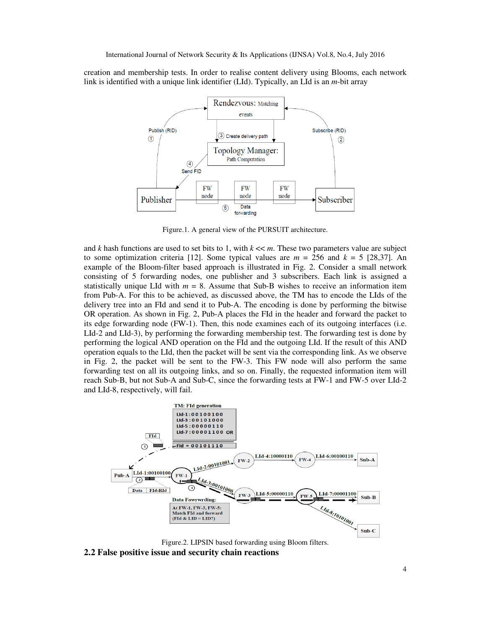creation and membership tests. In order to realise content delivery using Blooms, each network link is identified with a unique link identifier (LId). Typically, an LId is an *m*-bit array



Figure.1. A general view of the PURSUIT architecture.

and  $k$  hash functions are used to set bits to 1, with  $k \ll m$ . These two parameters value are subject to some optimization criteria [12]. Some typical values are  $m = 256$  and  $k = 5$  [28,37]. An example of the Bloom-filter based approach is illustrated in Fig. 2. Consider a small network consisting of 5 forwarding nodes, one publisher and 3 subscribers. Each link is assigned a statistically unique LId with  $m = 8$ . Assume that Sub-B wishes to receive an information item from Pub-A. For this to be achieved, as discussed above, the TM has to encode the LIds of the delivery tree into an FId and send it to Pub-A. The encoding is done by performing the bitwise OR operation. As shown in Fig. 2, Pub-A places the FId in the header and forward the packet to its edge forwarding node (FW-1). Then, this node examines each of its outgoing interfaces (i.e. LId-2 and LId-3), by performing the forwarding membership test. The forwarding test is done by performing the logical AND operation on the FId and the outgoing LId. If the result of this AND operation equals to the LId, then the packet will be sent via the corresponding link. As we observe in Fig. 2, the packet will be sent to the FW-3. This FW node will also perform the same forwarding test on all its outgoing links, and so on. Finally, the requested information item will reach Sub-B, but not Sub-A and Sub-C, since the forwarding tests at FW-1 and FW-5 over LId-2 and LId-8, respectively, will fail.



Figure.2. LIPSIN based forwarding using Bloom filters.

**2.2 False positive issue and security chain reactions**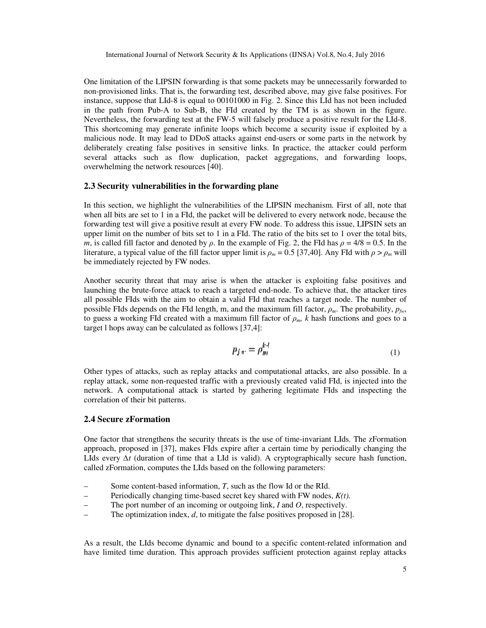One limitation of the LIPSIN forwarding is that some packets may be unnecessarily forwarded to non-provisioned links. That is, the forwarding test, described above, may give false positives. For instance, suppose that LId-8 is equal to 00101000 in Fig. 2. Since this LId has not been included in the path from Pub-A to Sub-B, the FId created by the TM is as shown in the figure. Nevertheless, the forwarding test at the FW-5 will falsely produce a positive result for the LId-8. This shortcoming may generate infinite loops which become a security issue if exploited by a malicious node. It may lead to DDoS attacks against end-users or some parts in the network by deliberately creating false positives in sensitive links. In practice, the attacker could perform several attacks such as flow duplication, packet aggregations, and forwarding loops, overwhelming the network resources [40].

#### **2.3 Security vulnerabilities in the forwarding plane**

In this section, we highlight the vulnerabilities of the LIPSIN mechanism. First of all, note that when all bits are set to 1 in a FId, the packet will be delivered to every network node, because the forwarding test will give a positive result at every FW node. To address this issue, LIPSIN sets an upper limit on the number of bits set to 1 in a FId. The ratio of the bits set to 1 over the total bits, *m*, is called fill factor and denoted by  $\rho$ . In the example of Fig. 2, the FId has  $\rho = 4/8 = 0.5$ . In the literature, a typical value of the fill factor upper limit is  $\rho_m = 0.5$  [37,40]. Any FId with  $\rho > \rho_m$  will be immediately rejected by FW nodes.

Another security threat that may arise is when the attacker is exploiting false positives and launching the brute-force attack to reach a targeted end-node. To achieve that, the attacker tires all possible FIds with the aim to obtain a valid FId that reaches a target node. The number of possible FIds depends on the FId length, m, and the maximum fill factor,  $\rho_m$ . The probability,  $p_{fw}$ , to guess a working FId created with a maximum fill factor of  $\rho_m$ , k hash functions and goes to a target l hops away can be calculated as follows [37,4]:

$$
p_{fu} = \rho_m^{k-l} \tag{1}
$$

Other types of attacks, such as replay attacks and computational attacks, are also possible. In a replay attack, some non-requested traffic with a previously created valid FId, is injected into the network. A computational attack is started by gathering legitimate FIds and inspecting the correlation of their bit patterns.

## **2.4 Secure zFormation**

One factor that strengthens the security threats is the use of time-invariant LIds. The zFormation approach, proposed in [37], makes FIds expire after a certain time by periodically changing the LIds every *∆t* (duration of time that a LId is valid). A cryptographically secure hash function, called zFormation, computes the LIds based on the following parameters:

- Some content-based information, *T*, such as the flow Id or the RId.
- Periodically changing time-based secret key shared with FW nodes, *K(t).*
- The port number of an incoming or outgoing link, *I* and *O*, respectively.
- The optimization index, *d*, to mitigate the false positives proposed in [28].

As a result, the LIds become dynamic and bound to a specific content-related information and have limited time duration. This approach provides sufficient protection against replay attacks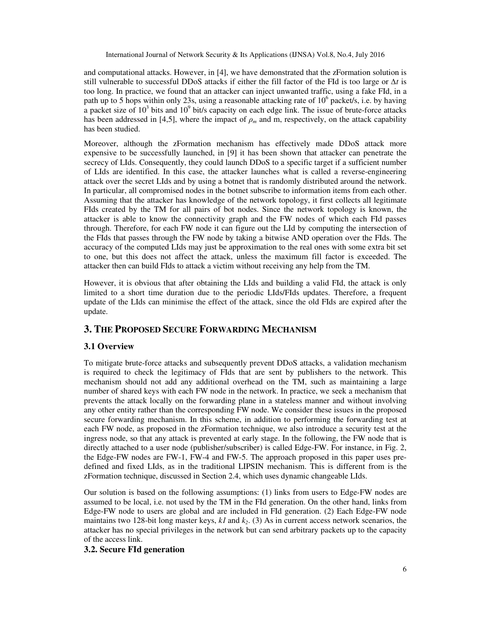and computational attacks. However, in [4], we have demonstrated that the zFormation solution is still vulnerable to successful DDoS attacks if either the fill factor of the FId is too large or *∆t* is too long. In practice, we found that an attacker can inject unwanted traffic, using a fake FId, in a path up to 5 hops within only 23s, using a reasonable attacking rate of  $10^6$  packet/s, i.e. by having a packet size of  $10^3$  bits and  $10^9$  bit/s capacity on each edge link. The issue of brute-force attacks has been addressed in [4,5], where the impact of  $\rho_m$  and m, respectively, on the attack capability has been studied.

Moreover, although the zFormation mechanism has effectively made DDoS attack more expensive to be successfully launched, in [9] it has been shown that attacker can penetrate the secrecy of LIds. Consequently, they could launch DDoS to a specific target if a sufficient number of LIds are identified. In this case, the attacker launches what is called a reverse-engineering attack over the secret LIds and by using a botnet that is randomly distributed around the network. In particular, all compromised nodes in the botnet subscribe to information items from each other. Assuming that the attacker has knowledge of the network topology, it first collects all legitimate FIds created by the TM for all pairs of bot nodes. Since the network topology is known, the attacker is able to know the connectivity graph and the FW nodes of which each FId passes through. Therefore, for each FW node it can figure out the LId by computing the intersection of the FIds that passes through the FW node by taking a bitwise AND operation over the FIds. The accuracy of the computed LIds may just be approximation to the real ones with some extra bit set to one, but this does not affect the attack, unless the maximum fill factor is exceeded. The attacker then can build FIds to attack a victim without receiving any help from the TM.

However, it is obvious that after obtaining the LIds and building a valid FId, the attack is only limited to a short time duration due to the periodic LIds/FIds updates. Therefore, a frequent update of the LIds can minimise the effect of the attack, since the old FIds are expired after the update.

## **3. THE PROPOSED SECURE FORWARDING MECHANISM**

## **3.1 Overview**

To mitigate brute-force attacks and subsequently prevent DDoS attacks, a validation mechanism is required to check the legitimacy of FIds that are sent by publishers to the network. This mechanism should not add any additional overhead on the TM, such as maintaining a large number of shared keys with each FW node in the network. In practice, we seek a mechanism that prevents the attack locally on the forwarding plane in a stateless manner and without involving any other entity rather than the corresponding FW node. We consider these issues in the proposed secure forwarding mechanism. In this scheme, in addition to performing the forwarding test at each FW node, as proposed in the zFormation technique, we also introduce a security test at the ingress node, so that any attack is prevented at early stage. In the following, the FW node that is directly attached to a user node (publisher/subscriber) is called Edge-FW. For instance, in Fig. 2, the Edge-FW nodes are FW-1, FW-4 and FW-5. The approach proposed in this paper uses predefined and fixed LIds, as in the traditional LIPSIN mechanism. This is different from is the zFormation technique, discussed in Section 2.4, which uses dynamic changeable LIds.

Our solution is based on the following assumptions: (1) links from users to Edge-FW nodes are assumed to be local, i.e. not used by the TM in the FId generation. On the other hand, links from Edge-FW node to users are global and are included in FId generation. (2) Each Edge-FW node maintains two 128-bit long master keys,  $kI$  and  $k<sub>2</sub>$ . (3) As in current access network scenarios, the attacker has no special privileges in the network but can send arbitrary packets up to the capacity of the access link.

## **3.2. Secure FId generation**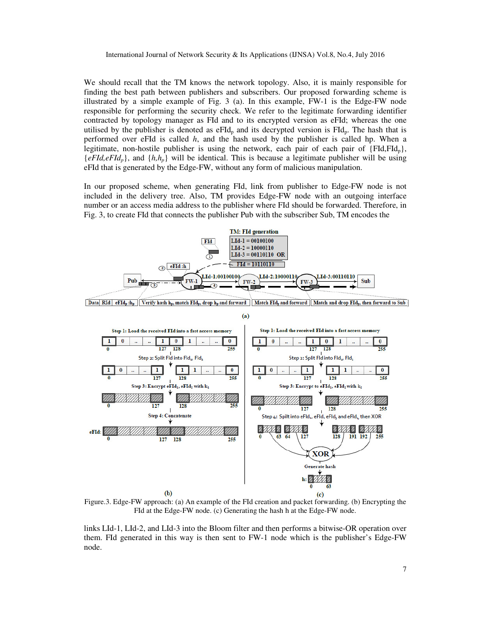We should recall that the TM knows the network topology. Also, it is mainly responsible for finding the best path between publishers and subscribers. Our proposed forwarding scheme is illustrated by a simple example of Fig. 3 (a). In this example, FW-1 is the Edge-FW node responsible for performing the security check. We refer to the legitimate forwarding identifier contracted by topology manager as FId and to its encrypted version as eFId; whereas the one utilised by the publisher is denoted as  $eFId_p$  and its decrypted version is  $FId_p$ . The hash that is performed over eFId is called *h*, and the hash used by the publisher is called hp. When a legitimate, non-hostile publisher is using the network, each pair of each pair of  $\{FId, FId_n\}$ , {*eFId,eFIdp*}, and {*h,hp*} will be identical. This is because a legitimate publisher will be using eFId that is generated by the Edge-FW, without any form of malicious manipulation.

In our proposed scheme, when generating FId, link from publisher to Edge-FW node is not included in the delivery tree. Also, TM provides Edge-FW node with an outgoing interface number or an access media address to the publisher where FId should be forwarded. Therefore, in Fig. 3, to create FId that connects the publisher Pub with the subscriber Sub, TM encodes the



Figure.3. Edge-FW approach: (a) An example of the FId creation and packet forwarding. (b) Encrypting the FId at the Edge-FW node. (c) Generating the hash h at the Edge-FW node.

links LId-1, LId-2, and LId-3 into the Bloom filter and then performs a bitwise-OR operation over them. FId generated in this way is then sent to FW-1 node which is the publisher's Edge-FW node.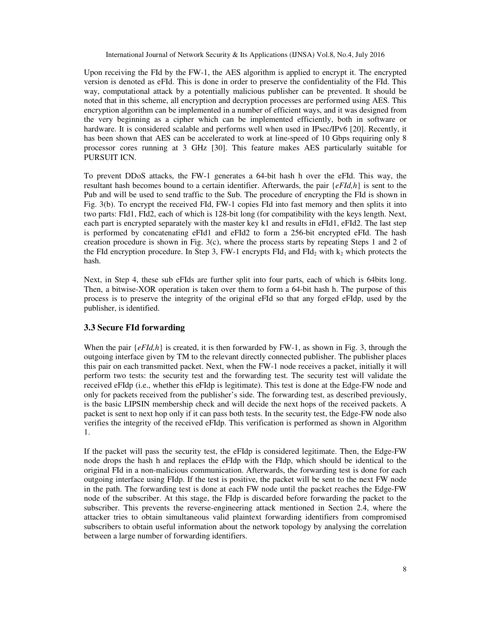Upon receiving the FId by the FW-1, the AES algorithm is applied to encrypt it. The encrypted version is denoted as eFId. This is done in order to preserve the confidentiality of the FId. This way, computational attack by a potentially malicious publisher can be prevented. It should be noted that in this scheme, all encryption and decryption processes are performed using AES. This encryption algorithm can be implemented in a number of efficient ways, and it was designed from the very beginning as a cipher which can be implemented efficiently, both in software or hardware. It is considered scalable and performs well when used in IPsec/IPv6 [20]. Recently, it has been shown that AES can be accelerated to work at line-speed of 10 Gbps requiring only 8 processor cores running at 3 GHz [30]. This feature makes AES particularly suitable for PURSUIT ICN.

To prevent DDoS attacks, the FW-1 generates a 64-bit hash h over the eFId. This way, the resultant hash becomes bound to a certain identifier. Afterwards, the pair {*eFId,h*} is sent to the Pub and will be used to send traffic to the Sub. The procedure of encrypting the FId is shown in Fig. 3(b). To encrypt the received FId, FW-1 copies FId into fast memory and then splits it into two parts: FId1, FId2, each of which is 128-bit long (for compatibility with the keys length. Next, each part is encrypted separately with the master key k1 and results in eFId1, eFId2. The last step is performed by concatenating eFId1 and eFId2 to form a 256-bit encrypted eFId. The hash creation procedure is shown in Fig.  $3(c)$ , where the process starts by repeating Steps 1 and 2 of the FId encryption procedure. In Step 3, FW-1 encrypts FId<sub>1</sub> and FId<sub>2</sub> with  $k_2$  which protects the hash.

Next, in Step 4, these sub eFIds are further split into four parts, each of which is 64bits long. Then, a bitwise-XOR operation is taken over them to form a 64-bit hash h. The purpose of this process is to preserve the integrity of the original eFId so that any forged eFIdp, used by the publisher, is identified.

# **3.3 Secure FId forwarding**

When the pair  $\{eFId, h\}$  is created, it is then forwarded by FW-1, as shown in Fig. 3, through the outgoing interface given by TM to the relevant directly connected publisher. The publisher places this pair on each transmitted packet. Next, when the FW-1 node receives a packet, initially it will perform two tests: the security test and the forwarding test. The security test will validate the received eFIdp (i.e., whether this eFIdp is legitimate). This test is done at the Edge-FW node and only for packets received from the publisher's side. The forwarding test, as described previously, is the basic LIPSIN membership check and will decide the next hops of the received packets. A packet is sent to next hop only if it can pass both tests. In the security test, the Edge-FW node also verifies the integrity of the received eFIdp. This verification is performed as shown in Algorithm 1.

If the packet will pass the security test, the eFIdp is considered legitimate. Then, the Edge-FW node drops the hash h and replaces the eFIdp with the FIdp, which should be identical to the original FId in a non-malicious communication. Afterwards, the forwarding test is done for each outgoing interface using FIdp. If the test is positive, the packet will be sent to the next FW node in the path. The forwarding test is done at each FW node until the packet reaches the Edge-FW node of the subscriber. At this stage, the FIdp is discarded before forwarding the packet to the subscriber. This prevents the reverse-engineering attack mentioned in Section 2.4, where the attacker tries to obtain simultaneous valid plaintext forwarding identifiers from compromised subscribers to obtain useful information about the network topology by analysing the correlation between a large number of forwarding identifiers.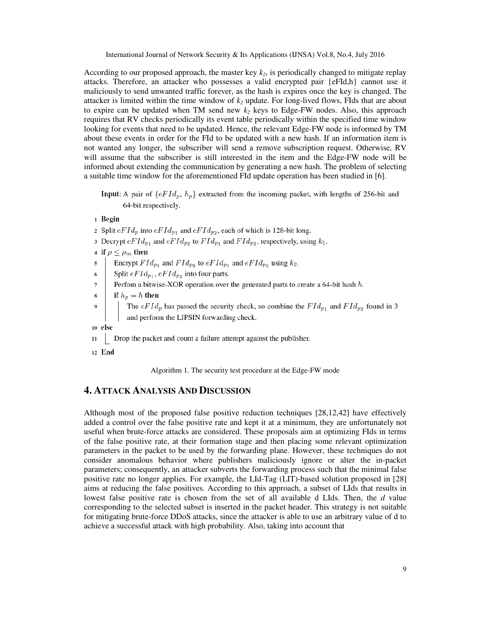According to our proposed approach, the master key *k2*, is periodically changed to mitigate replay attacks. Therefore, an attacker who possesses a valid encrypted pair {eFId,h} cannot use it maliciously to send unwanted traffic forever, as the hash is expires once the key is changed. The attacker is limited within the time window of *k2* update. For long-lived flows, FIds that are about to expire can be updated when TM send new *k2* keys to Edge-FW nodes. Also, this approach requires that RV checks periodically its event table periodically within the specified time window looking for events that need to be updated. Hence, the relevant Edge-FW node is informed by TM about these events in order for the FId to be updated with a new hash. If an information item is not wanted any longer, the subscriber will send a remove subscription request. Otherwise, RV will assume that the subscriber is still interested in the item and the Edge-FW node will be informed about extending the communication by generating a new hash. The problem of selecting a suitable time window for the aforementioned FId update operation has been studied in [6].

Input: A pair of  $\{eFId_p, h_p\}$  extracted from the incoming packet, with lengths of 256-bit and 64-bit respectively.

1 Begin

2 Split  $eFId_p$  into  $eFId_{p_1}$  and  $eFId_{p_2}$ , each of which is 128-bit long.

3 Decrypt  $eFId_{p_1}$  and  $eFId_{p_2}$  to  $FId_{p_1}$  and  $FId_{p_2}$ , respectively, using  $k_1$ .

4 if  $\rho \leq \rho_m$  then

Encrypt  $FId_{p_1}$  and  $FId_{p_2}$  to  $eFId_{p_1}$  and  $eFId_{p_2}$  using  $k_2$ . 5

Split  $eFId_{p_1}$ ,  $eFId_{p_2}$  into four parts. 6

Perfom a bitwise-XOR operation over the generated parts to create a 64-bit hash  $h$ .  $\overline{7}$ 

if  $h_p = h$  then  $\overline{\mathbf{g}}$ 

The  $eFId_p$  has passed the security check, so combine the  $FId_{p_1}$  and  $FId_{p_2}$  found in 3 and perform the LIPSIN forwarding check.

10 else

 $\ddot{\mathbf{Q}}$ 

Drop the packet and count a failure attempt against the publisher. 11

12 End

Algorithm 1. The security test procedure at the Edge-FW mode

# **4. ATTACK ANALYSIS AND DISCUSSION**

Although most of the proposed false positive reduction techniques [28,12,42] have effectively added a control over the false positive rate and kept it at a minimum, they are unfortunately not useful when brute-force attacks are considered. These proposals aim at optimizing FIds in terms of the false positive rate, at their formation stage and then placing some relevant optimization parameters in the packet to be used by the forwarding plane. However, these techniques do not consider anomalous behavior where publishers maliciously ignore or alter the in-packet parameters; consequently, an attacker subverts the forwarding process such that the minimal false positive rate no longer applies. For example, the LId-Tag (LIT)-based solution proposed in [28] aims at reducing the false positives. According to this approach, a subset of LIds that results in lowest false positive rate is chosen from the set of all available d LIds. Then, the *d* value corresponding to the selected subset is inserted in the packet header. This strategy is not suitable for mitigating brute-force DDoS attacks, since the attacker is able to use an arbitrary value of d to achieve a successful attack with high probability. Also, taking into account that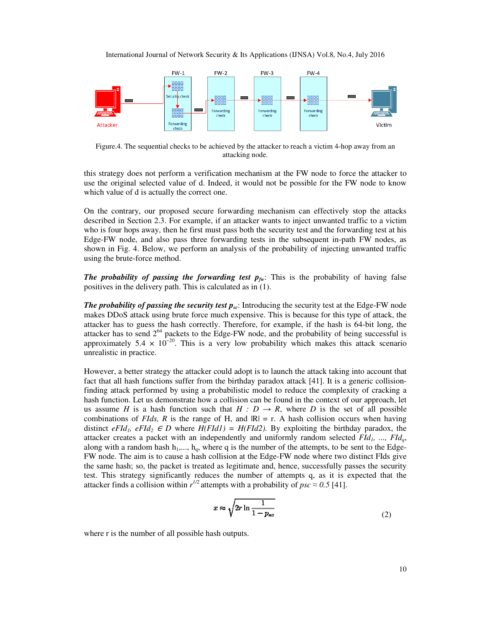

Figure.4. The sequential checks to be achieved by the attacker to reach a victim 4-hop away from an attacking node.

this strategy does not perform a verification mechanism at the FW node to force the attacker to use the original selected value of d. Indeed, it would not be possible for the FW node to know which value of d is actually the correct one.

On the contrary, our proposed secure forwarding mechanism can effectively stop the attacks described in Section 2.3. For example, if an attacker wants to inject unwanted traffic to a victim who is four hops away, then he first must pass both the security test and the forwarding test at his Edge-FW node, and also pass three forwarding tests in the subsequent in-path FW nodes, as shown in Fig. 4. Below, we perform an analysis of the probability of injecting unwanted traffic using the brute-force method.

**The probability of passing the forwarding test**  $p_{fw}$ **: This is the probability of having false** positives in the delivery path. This is calculated as in (1).

*The probability of passing the security test psc*: Introducing the security test at the Edge-FW node makes DDoS attack using brute force much expensive. This is because for this type of attack, the attacker has to guess the hash correctly. Therefore, for example, if the hash is 64-bit long, the attacker has to send  $2^{64}$  packets to the Edge-FW node, and the probability of being successful is approximately 5.4  $\times$  10<sup>-20</sup>. This is a very low probability which makes this attack scenario unrealistic in practice.

However, a better strategy the attacker could adopt is to launch the attack taking into account that fact that all hash functions suffer from the birthday paradox attack [41]. It is a generic collisionfinding attack performed by using a probabilistic model to reduce the complexity of cracking a hash function. Let us demonstrate how a collision can be found in the context of our approach, let us assume *H* is a hash function such that  $H : D \to R$ , where *D* is the set of all possible combinations of *FIds*, R is the range of H, and  $|R| = r$ . A hash collision occurs when having distinct  $eFId$ <sub>*i*</sub>,  $eFId$ <sub>2</sub>  $\in$  *D* where  $H(FIdI) = H(FId2)$ . By exploiting the birthday paradox, the attacker creates a packet with an independently and uniformly random selected *FId1, ..., FIdq*, along with a random hash  $h_1, ..., h_q$ , where q is the number of the attempts, to be sent to the Edge-FW node. The aim is to cause a hash collision at the Edge-FW node where two distinct FIds give the same hash; so, the packet is treated as legitimate and, hence, successfully passes the security test. This strategy significantly reduces the number of attempts q, as it is expected that the attacker finds a collision within  $r^{1/2}$  attempts with a probability of  $psc \approx 0.5$  [41].

$$
x \approx \sqrt{2r \ln \frac{1}{1 - p_{sc}}}
$$
 (2)

where r is the number of all possible hash outputs.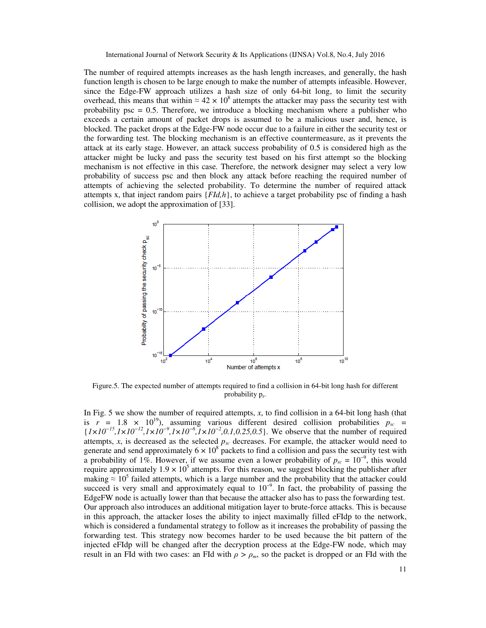The number of required attempts increases as the hash length increases, and generally, the hash function length is chosen to be large enough to make the number of attempts infeasible. However, since the Edge-FW approach utilizes a hash size of only 64-bit long, to limit the security overhead, this means that within  $\approx 42 \times 10^8$  attempts the attacker may pass the security test with probability psc  $= 0.5$ . Therefore, we introduce a blocking mechanism where a publisher who exceeds a certain amount of packet drops is assumed to be a malicious user and, hence, is blocked. The packet drops at the Edge-FW node occur due to a failure in either the security test or the forwarding test. The blocking mechanism is an effective countermeasure, as it prevents the attack at its early stage. However, an attack success probability of 0.5 is considered high as the attacker might be lucky and pass the security test based on his first attempt so the blocking mechanism is not effective in this case. Therefore, the network designer may select a very low probability of success psc and then block any attack before reaching the required number of attempts of achieving the selected probability. To determine the number of required attack attempts x, that inject random pairs {*FId,h*}, to achieve a target probability psc of finding a hash collision, we adopt the approximation of [33].



Figure.5. The expected number of attempts required to find a collision in 64-bit long hash for different probability p<sup>r</sup> .

In Fig. 5 we show the number of required attempts, *x*, to find collision in a 64-bit long hash (that is  $r = 1.8 \times 10^{19}$ , assuming various different desired collision probabilities  $p_{sc}$  = {*1×10−15,1×10−12,1×10−9,1×10−6,1×10−2,0.1,0.25,0.5*}. We observe that the number of required attempts, *x*, is decreased as the selected  $p_{sc}$  decreases. For example, the attacker would need to generate and send approximately  $6 \times 10^8$  packets to find a collision and pass the security test with a probability of 1%. However, if we assume even a lower probability of  $p_{sc} = 10^{-9}$ , this would require approximately  $1.9 \times 10^5$  attempts. For this reason, we suggest blocking the publisher after making  $\approx 10^5$  failed attempts, which is a large number and the probability that the attacker could succeed is very small and approximately equal to  $10^{-9}$ . In fact, the probability of passing the EdgeFW node is actually lower than that because the attacker also has to pass the forwarding test. Our approach also introduces an additional mitigation layer to brute-force attacks. This is because in this approach, the attacker loses the ability to inject maximally filled eFIdp to the network, which is considered a fundamental strategy to follow as it increases the probability of passing the forwarding test. This strategy now becomes harder to be used because the bit pattern of the injected eFIdp will be changed after the decryption process at the Edge-FW node, which may result in an FId with two cases: an FId with  $\rho > \rho_m$ , so the packet is dropped or an FId with the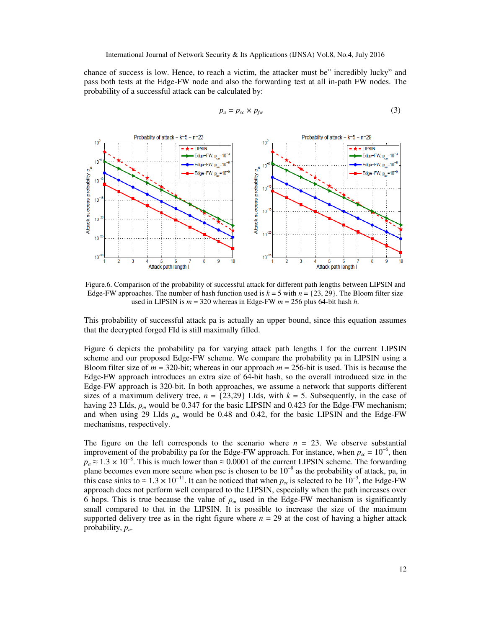chance of success is low. Hence, to reach a victim, the attacker must be" incredibly lucky" and pass both tests at the Edge-FW node and also the forwarding test at all in-path FW nodes. The probability of a successful attack can be calculated by:



$$
p_a = p_{sc} \times p_{fw} \tag{3}
$$

Figure.6. Comparison of the probability of successful attack for different path lengths between LIPSIN and Edge-FW approaches. The number of hash function used is  $k = 5$  with  $n = \{23, 29\}$ . The Bloom filter size used in LIPSIN is *m* = 320 whereas in Edge-FW *m* = 256 plus 64-bit hash *h*.

This probability of successful attack pa is actually an upper bound, since this equation assumes that the decrypted forged FId is still maximally filled.

Figure 6 depicts the probability pa for varying attack path lengths l for the current LIPSIN scheme and our proposed Edge-FW scheme. We compare the probability pa in LIPSIN using a Bloom filter size of  $m = 320$ -bit; whereas in our approach  $m = 256$ -bit is used. This is because the Edge-FW approach introduces an extra size of 64-bit hash, so the overall introduced size in the Edge-FW approach is 320-bit. In both approaches, we assume a network that supports different sizes of a maximum delivery tree,  $n = \{23,29\}$  LIds, with  $k = 5$ . Subsequently, in the case of having 23 LIds,  $\rho_m$  would be 0.347 for the basic LIPSIN and 0.423 for the Edge-FW mechanism; and when using 29 LIds  $\rho_m$  would be 0.48 and 0.42, for the basic LIPSIN and the Edge-FW mechanisms, respectively.

The figure on the left corresponds to the scenario where  $n = 23$ . We observe substantial improvement of the probability pa for the Edge-FW approach. For instance, when  $p_{sc} = 10^{-6}$ , then  $p_a \approx 1.3 \times 10^{-8}$ . This is much lower than  $\approx 0.0001$  of the current LIPSIN scheme. The forwarding plane becomes even more secure when psc is chosen to be  $10^{-9}$  as the probability of attack, pa, in this case sinks to  $\approx 1.3 \times 10^{-11}$ . It can be noticed that when  $p_{sc}$  is selected to be  $10^{-3}$ , the Edge-FW approach does not perform well compared to the LIPSIN, especially when the path increases over 6 hops. This is true because the value of  $\rho_m$  used in the Edge-FW mechanism is significantly small compared to that in the LIPSIN. It is possible to increase the size of the maximum supported delivery tree as in the right figure where  $n = 29$  at the cost of having a higher attack probability, *pa*.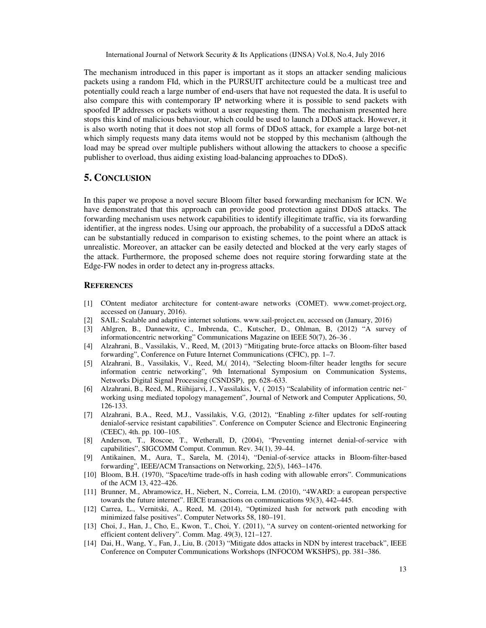The mechanism introduced in this paper is important as it stops an attacker sending malicious packets using a random FId, which in the PURSUIT architecture could be a multicast tree and potentially could reach a large number of end-users that have not requested the data. It is useful to also compare this with contemporary IP networking where it is possible to send packets with spoofed IP addresses or packets without a user requesting them. The mechanism presented here stops this kind of malicious behaviour, which could be used to launch a DDoS attack. However, it is also worth noting that it does not stop all forms of DDoS attack, for example a large bot-net which simply requests many data items would not be stopped by this mechanism (although the load may be spread over multiple publishers without allowing the attackers to choose a specific publisher to overload, thus aiding existing load-balancing approaches to DDoS).

## **5. CONCLUSION**

In this paper we propose a novel secure Bloom filter based forwarding mechanism for ICN. We have demonstrated that this approach can provide good protection against DDoS attacks. The forwarding mechanism uses network capabilities to identify illegitimate traffic, via its forwarding identifier, at the ingress nodes. Using our approach, the probability of a successful a DDoS attack can be substantially reduced in comparison to existing schemes, to the point where an attack is unrealistic. Moreover, an attacker can be easily detected and blocked at the very early stages of the attack. Furthermore, the proposed scheme does not require storing forwarding state at the Edge-FW nodes in order to detect any in-progress attacks.

#### **REFERENCES**

- [1] COntent mediator architecture for content-aware networks (COMET). www.comet-project.org, accessed on (January, 2016).
- [2] SAIL: Scalable and adaptive internet solutions. www.sail-project.eu, accessed on (January, 2016)
- [3] Ahlgren, B., Dannewitz, C., Imbrenda, C., Kutscher, D., Ohlman, B, (2012) "A survey of informationcentric networking" Communications Magazine on IEEE 50(7), 26–36 .
- [4] Alzahrani, B., Vassilakis, V., Reed, M, (2013) "Mitigating brute-force attacks on Bloom-filter based forwarding", Conference on Future Internet Communications (CFIC), pp. 1–7.
- [5] Alzahrani, B., Vassilakis, V., Reed, M,( 2014), "Selecting bloom-filter header lengths for secure information centric networking", 9th International Symposium on Communication Systems, Networks Digital Signal Processing (CSNDSP), pp. 628–633.
- [6] Alzahrani, B., Reed, M., Riihijarvi, J., Vassilakis, V, ( 2015) "Scalability of information centric net-¨ working using mediated topology management", Journal of Network and Computer Applications, 50, 126-133.
- [7] Alzahrani, B.A., Reed, M.J., Vassilakis, V.G, (2012), "Enabling z-filter updates for self-routing denialof-service resistant capabilities". Conference on Computer Science and Electronic Engineering (CEEC), 4th. pp. 100–105.
- [8] Anderson, T., Roscoe, T., Wetherall, D, (2004), "Preventing internet denial-of-service with capabilities", SIGCOMM Comput. Commun. Rev. 34(1), 39–44.
- [9] Antikainen, M., Aura, T., Sarela, M. (2014), "Denial-of-service attacks in Bloom-filter-based forwarding", IEEE/ACM Transactions on Networking, 22(5), 1463–1476.
- [10] Bloom, B.H. (1970), "Space/time trade-offs in hash coding with allowable errors". Communications of the ACM 13, 422–426.
- [11] Brunner, M., Abramowicz, H., Niebert, N., Correia, L.M. (2010), "4WARD: a european perspective towards the future internet". IEICE transactions on communications 93(3), 442–445.
- [12] Carrea, L., Vernitski, A., Reed, M. (2014), "Optimized hash for network path encoding with minimized false positives". Computer Networks 58, 180–191.
- [13] Choi, J., Han, J., Cho, E., Kwon, T., Choi, Y. (2011), "A survey on content-oriented networking for efficient content delivery". Comm. Mag. 49(3), 121–127.
- [14] Dai, H., Wang, Y., Fan, J., Liu, B. (2013) "Mitigate ddos attacks in NDN by interest traceback", IEEE Conference on Computer Communications Workshops (INFOCOM WKSHPS), pp. 381–386.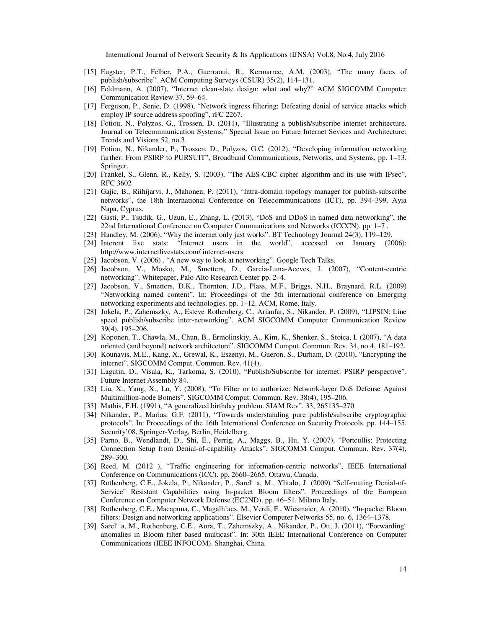- [15] Eugster, P.T., Felber, P.A., Guerraoui, R., Kermarrec, A.M. (2003), "The many faces of publish/subscribe". ACM Computing Surveys (CSUR) 35(2), 114–131.
- [16] Feldmann, A. (2007), "Internet clean-slate design: what and why?" ACM SIGCOMM Computer Communication Review 37, 59–64.
- [17] Ferguson, P., Senie, D. (1998), "Network ingress filtering: Defeating denial of service attacks which employ IP source address spoofing", rFC 2267.
- [18] Fotiou, N., Polyzos, G., Trossen, D. (2011), "Illustrating a publish/subscribe internet architecture. Journal on Telecommunication Systems," Special Issue on Future Internet Sevices and Architecture: Trends and Visions 52, no.3.
- [19] Fotiou, N., Nikander, P., Trossen, D., Polyzos, G.C. (2012), "Developing information networking further: From PSIRP to PURSUIT", Broadband Communications, Networks, and Systems, pp. 1–13. Springer.
- [20] Frankel, S., Glenn, R., Kelly, S. (2003), "The AES-CBC cipher algorithm and its use with IPsec", RFC 3602
- [21] Gajic, B., Riihijarvi, J., Mahonen, P. (2011), "Intra-domain topology manager for publish-subscribe networks", the 18th International Conference on Telecommunications (ICT), pp. 394–399. Ayia Napa, Cyprus.
- [22] Gasti, P., Tsudik, G., Uzun, E., Zhang, L. (2013), "DoS and DDoS in named data networking", the 22nd International Conference on Computer Communications and Networks (ICCCN). pp. 1–7 .
- [23] Handley, M. (2006), "Why the internet only just works". BT Technology Journal 24(3), 119–129.
- [24] Interent live stats: "Internet users in the world", accessed on January (2006): http://www.internetlivestats.com/ internet-users
- [25] Jacobson, V. (2006), "A new way to look at networking". Google Tech Talks.
- [26] Jacobson, V., Mosko, M., Smetters, D., Garcia-Luna-Aceves, J. (2007), "Content-centric networking". Whitepaper, Palo Alto Research Center pp. 2–4.
- [27] Jacobson, V., Smetters, D.K., Thornton, J.D., Plass, M.F., Briggs, N.H., Braynard, R.L. (2009) "Networking named content". In: Proceedings of the 5th international conference on Emerging networking experiments and technologies. pp. 1–12. ACM, Rome, Italy.
- [28] Jokela, P., Zahemszky, A., Esteve Rothenberg, C., Arianfar, S., Nikander, P. (2009), "LIPSIN: Line speed publish/subscribe inter-networking". ACM SIGCOMM Computer Communication Review 39(4), 195–206.
- [29] Koponen, T., Chawla, M., Chun, B., Ermolinskiy, A., Kim, K., Shenker, S., Stoica, I. (2007), "A data oriented (and beyond) network architecture". SIGCOMM Comput. Commun. Rev. 34, no.4, 181–192.
- [30] Kounavis, M.E., Kang, X., Grewal, K., Eszenyi, M., Gueron, S., Durham, D. (2010), "Encrypting the internet". SIGCOMM Comput. Commun. Rev. 41(4).
- [31] Lagutin, D., Visala, K., Tarkoma, S. (2010), "Publish/Subscribe for internet: PSIRP perspective". Future Internet Assembly 84.
- [32] Liu, X., Yang, X., Lu, Y. (2008), "To Filter or to authorize: Network-layer DoS Defense Against Multimillion-node Botnets". SIGCOMM Comput. Commun. Rev. 38(4), 195–206.
- [33] Mathis, F.H. (1991), "A generalized birthday problem. SIAM Rev". 33, 265135–270
- [34] Nikander, P., Marias, G.F. (2011), "Towards understanding pure publish/subscribe cryptographic protocols". In: Proceedings of the 16th International Conference on Security Protocols. pp. 144–155. Security'08, Springer-Verlag, Berlin, Heidelberg.
- [35] Parno, B., Wendlandt, D., Shi, E., Perrig, A., Maggs, B., Hu, Y. (2007), "Portcullis: Protecting Connection Setup from Denial-of-capability Attacks". SIGCOMM Comput. Commun. Rev. 37(4), 289–300.
- [36] Reed, M. (2012 ), "Traffic engineering for information-centric networks", IEEE International Conference on Communications (ICC). pp. 2660–2665. Ottawa, Canada.
- [37] Rothenberg, C.E., Jokela, P., Nikander, P., Sarel¨ a, M., Ylitalo, J. (2009) "Self-routing Denial-of-Service¨ Resistant Capabilities using In-packet Bloom filters". Proceedings of the European Conference on Computer Network Defense (EC2ND). pp. 46–51. Milano Italy.
- [38] Rothenberg, C.E., Macapuna, C., Magalh˜aes, M., Verdi, F., Wiesmaier, A. (2010), "In-packet Bloom filters: Design and networking applications". Elsevier Computer Networks 55, no. 6, 1364–1378.
- [39] Sarel¨ a, M., Rothenberg, C.E., Aura, T., Zahemszky, A., Nikander, P., Ott, J. (2011), "Forwarding¨ anomalies in Bloom filter based multicast". In: 30th IEEE International Conference on Computer Communications (IEEE INFOCOM). Shanghai, China.